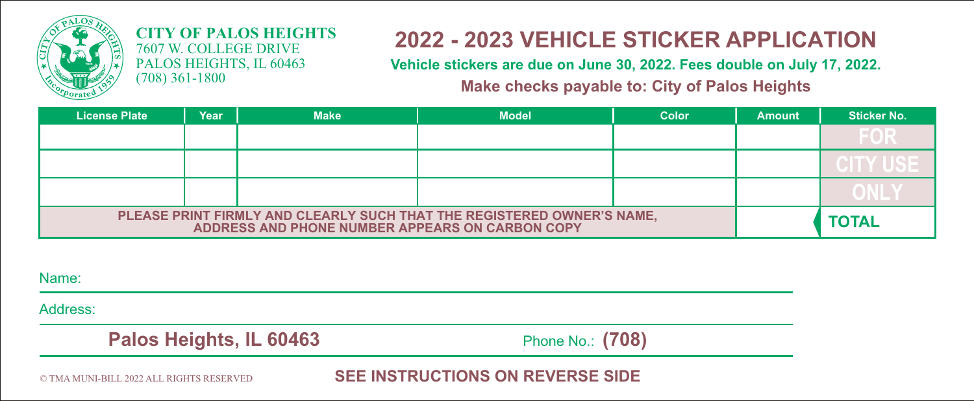

#### **CITY OF PALOS HEIGHTS** 7607 W. COLLEGE DRIVE PALOS HEIGHTS, IL 60463 (708) 361-1800

# **2022 - 2023 VEHICLE STICKER APPLICATION**

**Vehicle stickers are due on June 30, 2022. Fees double on July 17, 2022. Make checks payable to: City of Palos Heights**

| <b>License Plate</b>                                                                                                      | Year | <b>Make</b> | <b>Model</b> | Color | <b>Amount</b> | <b>Sticker No.</b> |
|---------------------------------------------------------------------------------------------------------------------------|------|-------------|--------------|-------|---------------|--------------------|
|                                                                                                                           |      |             |              |       |               | EAE                |
|                                                                                                                           |      |             |              |       |               |                    |
|                                                                                                                           |      |             |              |       |               |                    |
| PLEASE PRINT FIRMLY AND CLEARLY SUCH THAT THE REGISTERED OWNER'S NAME,<br>ADDRESS AND PHONE NUMBER APPEARS ON CARBON COPY |      |             |              |       |               | <b>TOTAL</b>       |

Name:

Address:

 **Palos Heights, IL 60463** Phone No.: (708)

© TMA MUNI-BILL 2022 ALL RIGHTS RESERVED **SEE INSTRUCTIONS ON REVERSE SIDE**